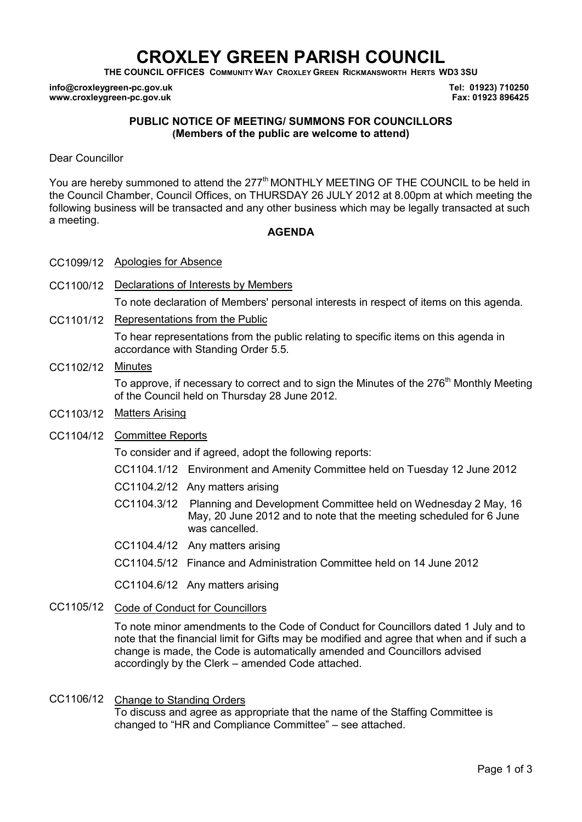# **CROXLEY GREEN PARISH COUNCIL**

**THE COUNCIL OFFICES COMMUNITY WAY CROXLEY GREEN RICKMANSWORTH HERTS WD3 3SU** 

**info@croxleygreen-pc.gov.uk www.croxleygreen-pc.gov.uk**

**Tel: 01923) 710250 Fax: 01923 896425**

## **PUBLIC NOTICE OF MEETING/ SUMMONS FOR COUNCILLORS (Members of the public are welcome to attend)**

Dear Councillor

You are hereby summoned to attend the 277<sup>th</sup> MONTHLY MEETING OF THE COUNCIL to be held in the Council Chamber, Council Offices, on THURSDAY 26 JULY 2012 at 8.00pm at which meeting the following business will be transacted and any other business which may be legally transacted at such a meeting.

#### **AGENDA**

- CC1099/12 Apologies for Absence
- CC1100/12 Declarations of Interests by Members

To note declaration of Members' personal interests in respect of items on this agenda.

CC1101/12 Representations from the Public

To hear representations from the public relating to specific items on this agenda in accordance with Standing Order 5.5.

## CC1102/12 Minutes

To approve, if necessary to correct and to sign the Minutes of the 276<sup>th</sup> Monthly Meeting of the Council held on Thursday 28 June 2012.

CC1103/12 Matters Arising

## CC1104/12 Committee Reports

To consider and if agreed, adopt the following reports:

- CC1104.1/12 Environment and Amenity Committee held on Tuesday 12 June 2012
- CC1104.2/12 Any matters arising
- C CC1104.3/12 Planning and Development Committee held on Wednesday 2 May, 16 May, 20 June 2012 and to note that the meeting scheduled for 6 June was cancelled.
- CC1104.4/12 Any matters arising
- CC1104.5/12 Finance and Administration Committee held on 14 June 2012

CC1104.6/12 Any matters arising

CC1105/12 Code of Conduct for Councillors

To note minor amendments to the Code of Conduct for Councillors dated 1 July and to note that the financial limit for Gifts may be modified and agree that when and if such a change is made, the Code is automatically amended and Councillors advised accordingly by the Clerk – amended Code attached.

## CC1106/12 Change to Standing Orders To discuss and agree as appropriate that the name of the Staffing Committee is changed to "HR and Compliance Committee" – see attached.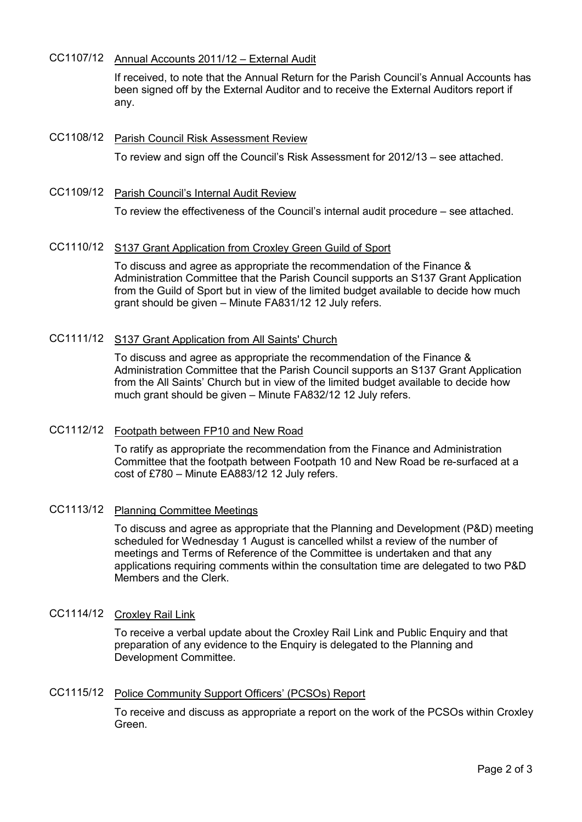## CC1107/12 Annual Accounts 2011/12 – External Audit

If received, to note that the Annual Return for the Parish Council's Annual Accounts has been signed off by the External Auditor and to receive the External Auditors report if any.

# CC1108/12 Parish Council Risk Assessment Review To review and sign off the Council's Risk Assessment for 2012/13 – see attached.

CC1109/12 Parish Council's Internal Audit Review To review the effectiveness of the Council's internal audit procedure – see attached.

## CC1110/12 S137 Grant Application from Croxley Green Guild of Sport

To discuss and agree as appropriate the recommendation of the Finance & Administration Committee that the Parish Council supports an S137 Grant Application from the Guild of Sport but in view of the limited budget available to decide how much grant should be given – Minute FA831/12 12 July refers.

## CC1111/12 S137 Grant Application from All Saints' Church

To discuss and agree as appropriate the recommendation of the Finance & Administration Committee that the Parish Council supports an S137 Grant Application from the All Saints' Church but in view of the limited budget available to decide how much grant should be given – Minute FA832/12 12 July refers.

#### CC1112/12 Footpath between FP10 and New Road

To ratify as appropriate the recommendation from the Finance and Administration Committee that the footpath between Footpath 10 and New Road be re-surfaced at a cost of £780 – Minute EA883/12 12 July refers.

#### CC1113/12 Planning Committee Meetings

To discuss and agree as appropriate that the Planning and Development (P&D) meeting scheduled for Wednesday 1 August is cancelled whilst a review of the number of meetings and Terms of Reference of the Committee is undertaken and that any applications requiring comments within the consultation time are delegated to two P&D Members and the Clerk.

## CC1114/12 Croxley Rail Link

To receive a verbal update about the Croxley Rail Link and Public Enquiry and that preparation of any evidence to the Enquiry is delegated to the Planning and Development Committee.

#### CC1115/12 Police Community Support Officers' (PCSOs) Report

To receive and discuss as appropriate a report on the work of the PCSOs within Croxley Green.